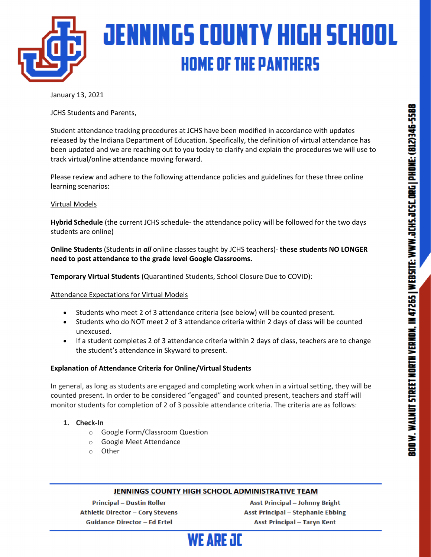

January 13, 2021

JCHS Students and Parents,

Student attendance tracking procedures at JCHS have been modified in accordance with updates released by the Indiana Department of Education. Specifically, the definition of virtual attendance has been updated and we are reaching out to you today to clarify and explain the procedures we will use to track virtual/online attendance moving forward.

Please review and adhere to the following attendance policies and guidelines for these three online learning scenarios:

#### Virtual Models

**Hybrid Schedule** (the current JCHS schedule- the attendance policy will be followed for the two days students are online)

**Online Students** (Students in *all* online classes taught by JCHS teachers)- **these students NO LONGER need to post attendance to the grade level Google Classrooms.** 

**Temporary Virtual Students** (Quarantined Students, School Closure Due to COVID):

Attendance Expectations for Virtual Models

- Students who meet 2 of 3 attendance criteria (see below) will be counted present.
- Students who do NOT meet 2 of 3 attendance criteria within 2 days of class will be counted unexcused.
- If a student completes 2 of 3 attendance criteria within 2 days of class, teachers are to change the student's attendance in Skyward to present.

#### **Explanation of Attendance Criteria for Online/Virtual Students**

In general, as long as students are engaged and completing work when in a virtual setting, they will be counted present. In order to be considered "engaged" and counted present, teachers and staff will monitor students for completion of 2 of 3 possible attendance criteria. The criteria are as follows:

#### **1. Check-In**

- o Google Form/Classroom Question
- o Google Meet Attendance
- o Other

#### JENNINGS COUNTY HIGH SCHOOL ADMINISTRATIVE TEAM

**Principal - Dustin Roller Athletic Director - Cory Stevens Guidance Director - Ed Ertel** 

**Asst Principal - Johnny Bright Asst Principal - Stephanie Ebbing Asst Principal - Taryn Kent**